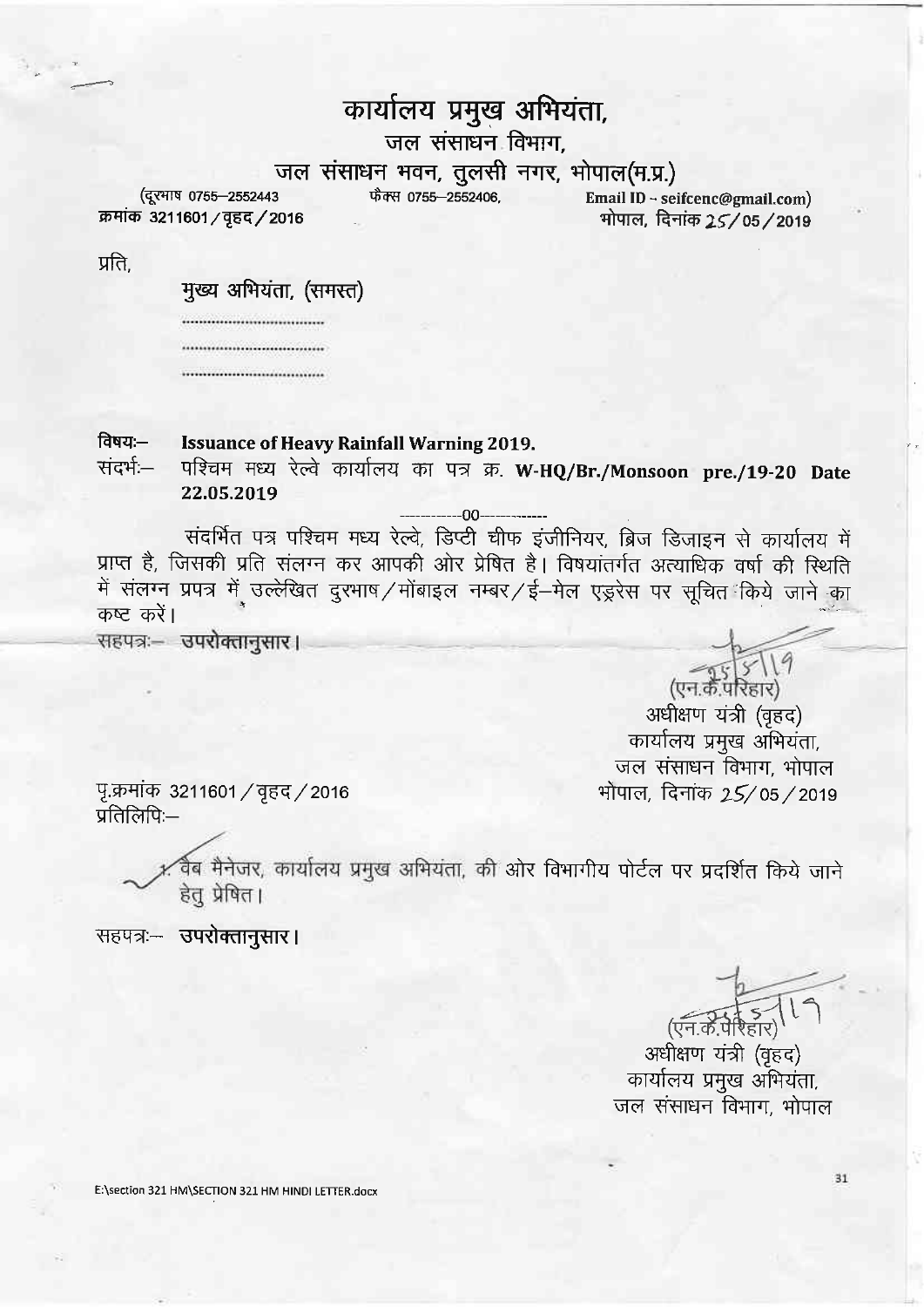## कार्यालय प्रमुख अभियंता,

जल संसाधन विभाग,

## atet dwtrq q-fi.g-m\$ q.rs, qlcrd(q.c.)

(दूरभाष 0755-2552443

Email lD - seifcenc@gmail.com)

प्रति.

मुख्य अभियंता, (समस्त)

................................ ................................ ,,,,,,,,,,,,,,,,,,,,,,,,,,,,,,,,,

क्रमांक 3211601 / वृहद / 2016

## ftqq:- Issuance of Heavy Rainfall Warning 2019.

संदर्भ – पश्चिम मध्य रेल्वे कार्यालय का पत्र क्र. W-HQ/Br./Monsoon pre./19-20 Date 22.O5.20t9

 $-00-$ 

संदर्भित पत्र पश्चिम मध्य रेल्वे, डिप्टी चीफ इंजीनियर, ब्रिज डिजाइन से कार्यालय में प्राप्त है, जिसकी प्रति संलग्न कर आपकी ओर प्रेषित है। विषयांतर्गत अत्याधिक वर्षा की स्थिति ... ... e, return and their revealing one are or researched oreinger an experiment<br>में संलग्न प्रपत्र में उल्लेखित दुरभाष / मोंबाइल नम्बर / ई—मेल एड्ररेस पर सूचित किये जाने का कष्ट करें।

(एन.के.परिहार) अधीक्षण यंत्री (वृहद) कार्यालय प्रमुख अभियंता, जल संसाधन विभाग, भोपाल भोपाल, दिनांक  $25/$ 05/2019

पृ.क्रमांक 3211601 / वृहद / 2016  $\overline{y}$ तिलिपि:-

> र्विब मैनेजर, कार्यालय प्रमुख अभियंता, की ओर विभागीय पोर्टल पर प्रदर्शित किये जाने हेतु प्रेषित।

सहपत्र:- उपरोक्तानुसार।

 $(5.715)(19)$ 

अधीक्षण यंत्री (वृहद) कार्यालय प्रमुख अभियंता, जल संसाधन विभाग, भोपाल

E:\section 321 HM\SECTION 321 HM HINDI LETTER.docx

31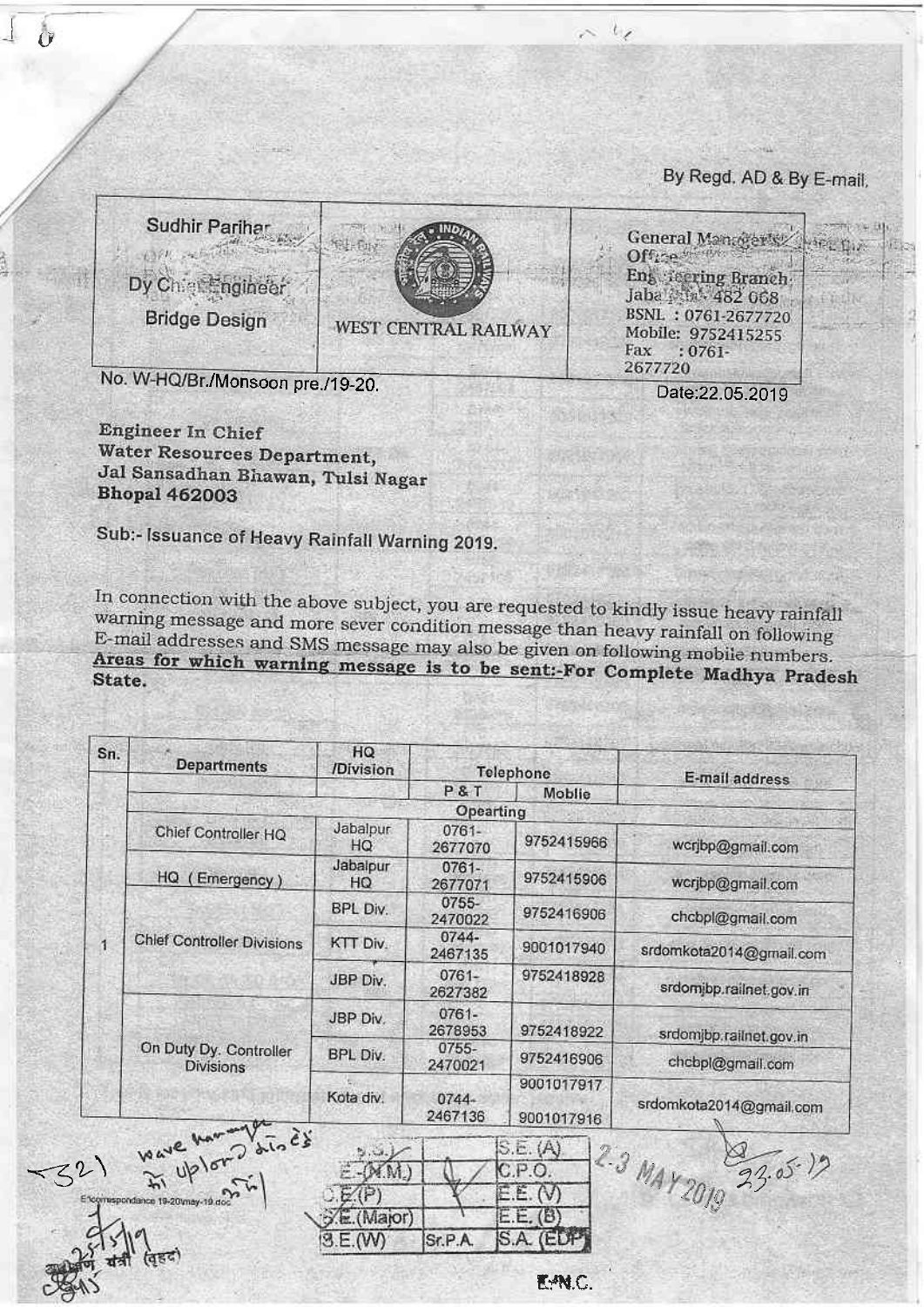By Regd. AD & By E-mail.

| Sudhir Parihar<br>Dy Chief Engineer<br><b>Bridge Design</b> | WEST CENTRAL RAILWAY | General Managers / Hirt Day<br>Offrey<br>Eng Seering Branch<br>Jaba 25th, 482 068<br>BSNL: 0761-2677720<br>Mobile: 9752415255<br>Fax<br>$:0761-$<br>2677720 |  |
|-------------------------------------------------------------|----------------------|-------------------------------------------------------------------------------------------------------------------------------------------------------------|--|
| No. W-HQ/Br./Monsoon pre./19-20.                            |                      | Date: 22 05 2010                                                                                                                                            |  |

Engineer In Chief Water Resources Department, Jal Sansadhan Bhawan, Tulsi Nagar **Bhopal 462003** 

 $-11$ 

Sub:- Issuance of Heavy Rainfall Warning 2019.

In connection with the above subject, you are requested to kindly issue heavy rainfall warning message and more sever condition message than heavy rainfall on following E-mail addresses and SMS message may also be given on following mobile numbers. Areas for which warning message is to be sent:-For Complete Madhya Pradesh

| Sn.     | <b>Departments</b>                         | HQ.<br><b>/Division</b> |                     | Telephone                | E-mail address          |  |
|---------|--------------------------------------------|-------------------------|---------------------|--------------------------|-------------------------|--|
|         |                                            |                         | P&T                 | Moblie                   |                         |  |
|         | Opearting                                  |                         |                     |                          |                         |  |
| HQ<br>1 | Chief Controller HQ                        | Jabalpur<br>HQ          | 0761-<br>2677070    | 9752415966               | wcrjbp@gmail.com        |  |
|         | Emergency)                                 | Jabalpur<br>HQ          | $0761 -$<br>2677071 | 9752415906               | wcrjbp@gmail.com        |  |
|         | <b>Chief Controller Divisions</b>          | BPL Div.                | 0755-<br>2470022    | 9752416906               | chcbpl@gmail.com        |  |
|         |                                            | KTT Div.                | 0744-<br>2467135    | 9001017940               | srdomkota2014@gmail.com |  |
|         |                                            | JBP Div.                | $0761 -$<br>2627382 | 9752418928               | srdomjbp.railnet.gov.in |  |
|         | On Duty Dy. Controller<br><b>Divisions</b> | JBP Div.                | 0761-<br>2678953    | 9752418922               | srdomjbp.railnet.gov.in |  |
|         |                                            | BPL Div.                | $0755 -$<br>2470021 | 9752416906               | chcbpl@gmail.com        |  |
|         |                                            | Kota div.               | $0744 -$<br>2467136 | 9001017917<br>9001017916 | srdomkota2014@gmail.com |  |
| 32)     | Wave Montgots                              | M.M.)                   |                     | S.E. (A)<br>C.P.O.       |                         |  |
|         | Encomispondance 19-20 may-19 do            |                         |                     | E. (V)                   | 2.3 MAY 2019 23.05-19   |  |
|         |                                            | (Maror)                 |                     | E.E. (B)                 |                         |  |
|         |                                            | 3.E.(W)                 | Sr.P.A.             | S.A. (EDP                |                         |  |
|         |                                            |                         |                     | E-PN.C.                  |                         |  |